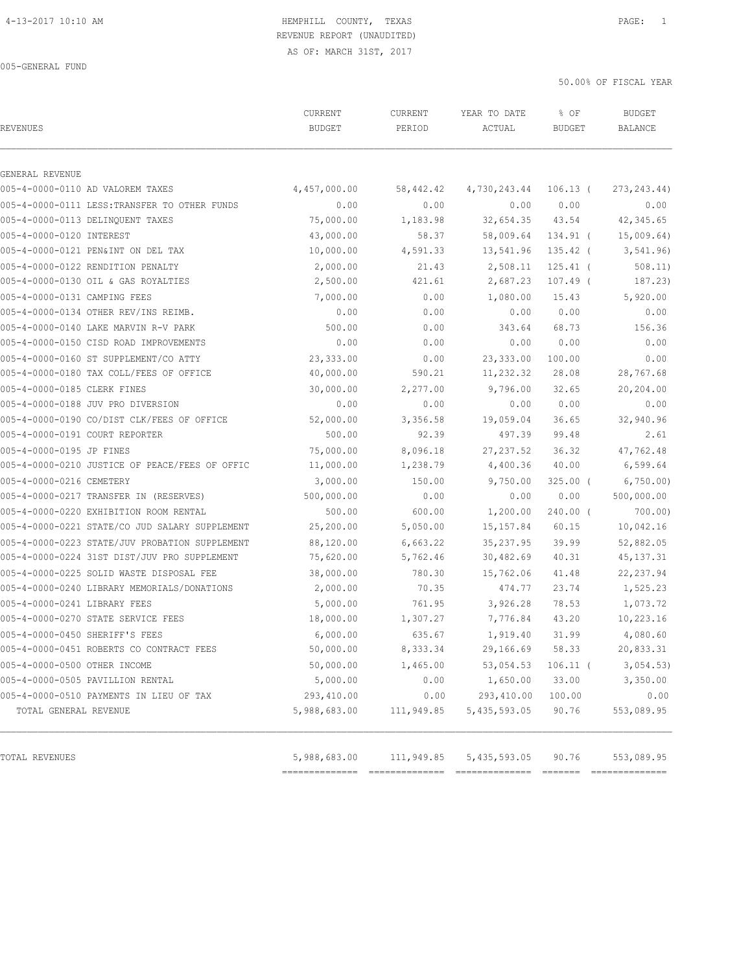# REVENUE REPORT (UNAUDITED)

AS OF: MARCH 31ST, 2017

005-GENERAL FUND

| GENERAL REVENUE                                |              |            |              |            |              |
|------------------------------------------------|--------------|------------|--------------|------------|--------------|
| 005-4-0000-0110 AD VALOREM TAXES               | 4,457,000.00 | 58,442.42  | 4,730,243.44 | $106.13$ ( | 273, 243.44) |
| 005-4-0000-0111 LESS: TRANSFER TO OTHER FUNDS  | 0.00         | 0.00       | 0.00         | 0.00       | 0.00         |
| 005-4-0000-0113 DELINQUENT TAXES               | 75,000.00    | 1,183.98   | 32,654.35    | 43.54      | 42,345.65    |
| 005-4-0000-0120 INTEREST                       | 43,000.00    | 58.37      | 58,009.64    | $134.91$ ( | 15,009.64)   |
| 005-4-0000-0121 PEN&INT ON DEL TAX             | 10,000.00    | 4,591.33   | 13,541.96    | 135.42 (   | 3, 541.96    |
| 005-4-0000-0122 RENDITION PENALTY              | 2,000.00     | 21.43      | 2,508.11     | $125.41$ ( | 508.11)      |
| 005-4-0000-0130 OIL & GAS ROYALTIES            | 2,500.00     | 421.61     | 2,687.23     | $107.49$ ( | 187.23)      |
| 005-4-0000-0131 CAMPING FEES                   | 7,000.00     | 0.00       | 1,080.00     | 15.43      | 5,920.00     |
| 005-4-0000-0134 OTHER REV/INS REIMB.           | 0.00         | 0.00       | 0.00         | 0.00       | 0.00         |
| 005-4-0000-0140 LAKE MARVIN R-V PARK           | 500.00       | 0.00       | 343.64       | 68.73      | 156.36       |
| 005-4-0000-0150 CISD ROAD IMPROVEMENTS         | 0.00         | 0.00       | 0.00         | 0.00       | 0.00         |
| 005-4-0000-0160 ST SUPPLEMENT/CO ATTY          | 23,333.00    | 0.00       | 23, 333.00   | 100.00     | 0.00         |
| 005-4-0000-0180 TAX COLL/FEES OF OFFICE        | 40,000.00    | 590.21     | 11,232.32    | 28.08      | 28,767.68    |
| 005-4-0000-0185 CLERK FINES                    | 30,000.00    | 2,277.00   | 9,796.00     | 32.65      | 20,204.00    |
| 005-4-0000-0188 JUV PRO DIVERSION              | 0.00         | 0.00       | 0.00         | 0.00       | 0.00         |
| 005-4-0000-0190 CO/DIST CLK/FEES OF OFFICE     | 52,000.00    | 3,356.58   | 19,059.04    | 36.65      | 32,940.96    |
| 005-4-0000-0191 COURT REPORTER                 | 500.00       | 92.39      | 497.39       | 99.48      | 2.61         |
| 005-4-0000-0195 JP FINES                       | 75,000.00    | 8,096.18   | 27, 237.52   | 36.32      | 47,762.48    |
| 005-4-0000-0210 JUSTICE OF PEACE/FEES OF OFFIC | 11,000.00    | 1,238.79   | 4,400.36     | 40.00      | 6,599.64     |
| 005-4-0000-0216 CEMETERY                       | 3,000.00     | 150.00     | 9,750.00     | $325.00$ ( | 6,750.00     |
| 005-4-0000-0217 TRANSFER IN (RESERVES)         | 500,000.00   | 0.00       | 0.00         | 0.00       | 500,000.00   |
| 005-4-0000-0220 EXHIBITION ROOM RENTAL         | 500.00       | 600.00     | 1,200.00     | $240.00$ ( | 700.00)      |
| 005-4-0000-0221 STATE/CO JUD SALARY SUPPLEMENT | 25,200.00    | 5,050.00   | 15, 157.84   | 60.15      | 10,042.16    |
| 005-4-0000-0223 STATE/JUV PROBATION SUPPLEMENT | 88,120.00    | 6,663.22   | 35, 237.95   | 39.99      | 52,882.05    |
| 005-4-0000-0224 31ST DIST/JUV PRO SUPPLEMENT   | 75,620.00    | 5,762.46   | 30,482.69    | 40.31      | 45, 137.31   |
| 005-4-0000-0225 SOLID WASTE DISPOSAL FEE       | 38,000.00    | 780.30     | 15,762.06    | 41.48      | 22, 237.94   |
| 005-4-0000-0240 LIBRARY MEMORIALS/DONATIONS    | 2,000.00     | 70.35      | 474.77       | 23.74      | 1,525.23     |
| 005-4-0000-0241 LIBRARY FEES                   | 5,000.00     | 761.95     | 3,926.28     | 78.53      | 1,073.72     |
| 005-4-0000-0270 STATE SERVICE FEES             | 18,000.00    | 1,307.27   | 7,776.84     | 43.20      | 10,223.16    |
| 005-4-0000-0450 SHERIFF'S FEES                 | 6,000.00     | 635.67     | 1,919.40     | 31.99      | 4,080.60     |
| 005-4-0000-0451 ROBERTS CO CONTRACT FEES       | 50,000.00    | 8,333.34   | 29,166.69    | 58.33      | 20,833.31    |
| 005-4-0000-0500 OTHER INCOME                   | 50,000.00    | 1,465.00   | 53,054.53    | $106.11$ ( | 3,054.53)    |
| 005-4-0000-0505 PAVILLION RENTAL               | 5,000.00     | 0.00       | 1,650.00     | 33.00      | 3,350.00     |
| 005-4-0000-0510 PAYMENTS IN LIEU OF TAX        | 293,410.00   | 0.00       | 293, 410.00  | 100.00     | 0.00         |
| TOTAL GENERAL REVENUE                          | 5,988,683.00 | 111,949.85 | 5,435,593.05 | 90.76      | 553,089.95   |
| TOTAL REVENUES                                 | 5,988,683.00 | 111,949.85 | 5,435,593.05 | 90.76      | 553,089.95   |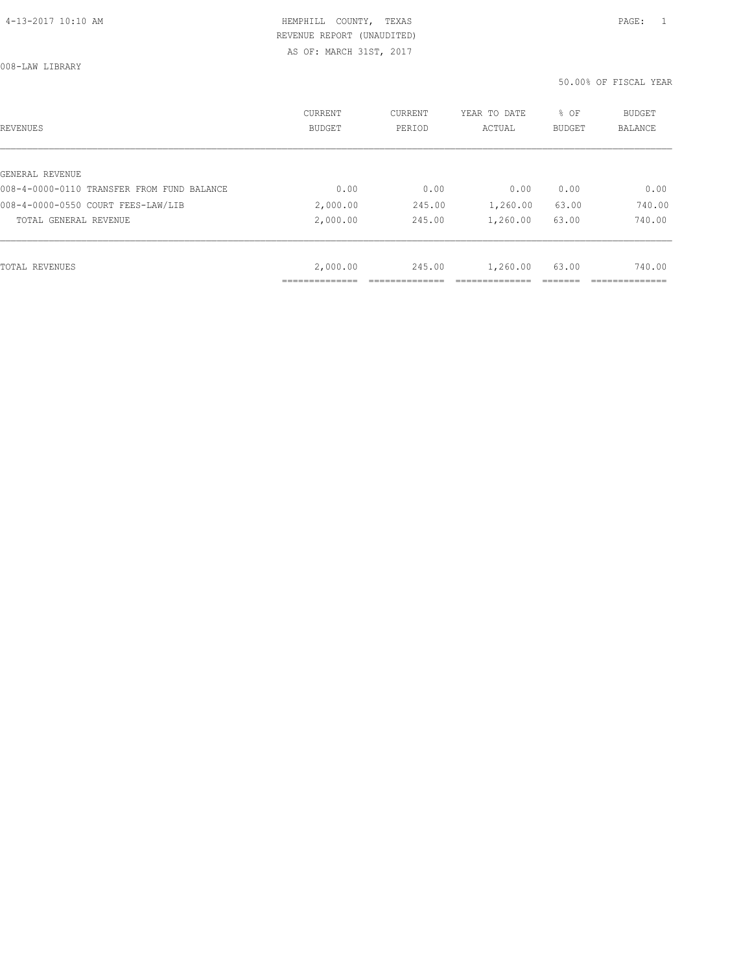008-LAW LIBRARY

| REVENUES                                   | <b>CURRENT</b><br><b>BUDGET</b> | CURRENT<br>PERIOD | YEAR TO DATE<br>ACTUAL | % OF<br>BUDGET | BUDGET<br>BALANCE |
|--------------------------------------------|---------------------------------|-------------------|------------------------|----------------|-------------------|
|                                            |                                 |                   |                        |                |                   |
| GENERAL REVENUE                            |                                 |                   |                        |                |                   |
| 008-4-0000-0110 TRANSFER FROM FUND BALANCE | 0.00                            | 0.00              | 0.00                   | 0.00           | 0.00              |
| 008-4-0000-0550 COURT FEES-LAW/LIB         | 2,000.00                        | 245.00            | 1,260.00               | 63.00          | 740.00            |
| TOTAL GENERAL REVENUE                      | 2,000.00                        | 245.00            | 1,260.00               | 63.00          | 740.00            |
|                                            |                                 |                   |                        |                |                   |
| TOTAL REVENUES                             | 2,000.00                        | 245.00            | 1,260.00               | 63.00          | 740.00            |
|                                            |                                 |                   |                        |                |                   |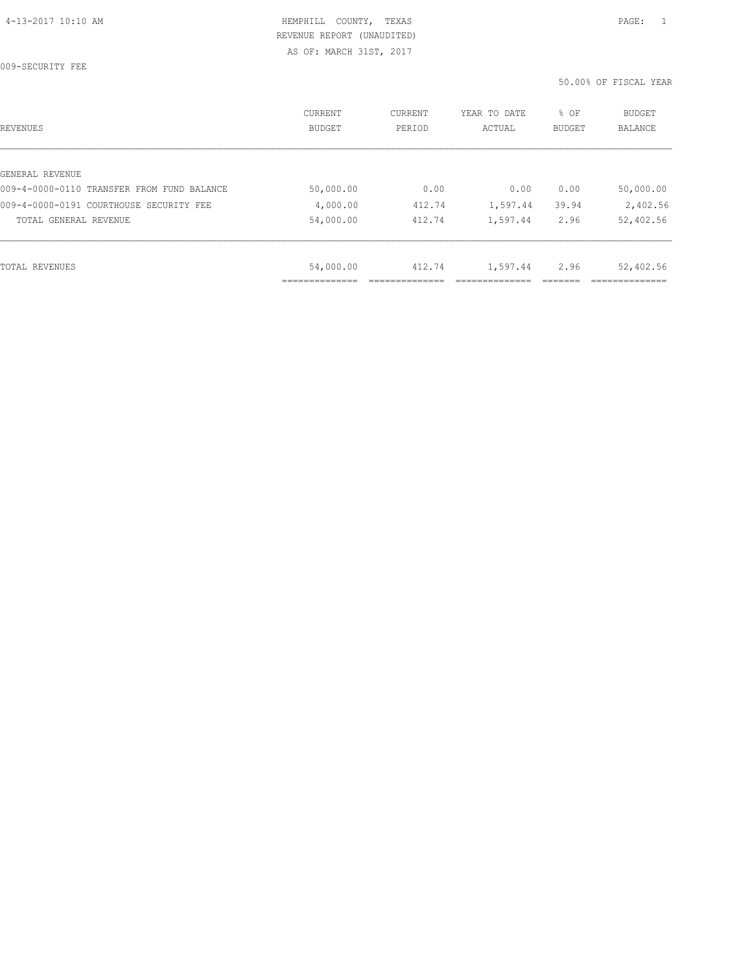009-SECURITY FEE

| REVENUES                                   | CURRENT<br><b>BUDGET</b> | CURRENT<br>PERIOD | YEAR TO DATE<br>ACTUAL | % OF<br><b>BUDGET</b> | <b>BUDGET</b><br>BALANCE |
|--------------------------------------------|--------------------------|-------------------|------------------------|-----------------------|--------------------------|
|                                            |                          |                   |                        |                       |                          |
| GENERAL REVENUE                            |                          |                   |                        |                       |                          |
| 009-4-0000-0110 TRANSFER FROM FUND BALANCE | 50,000.00                | 0.00              | 0.00                   | 0.00                  | 50,000.00                |
| 009-4-0000-0191 COURTHOUSE SECURITY FEE    | 4,000.00                 | 412.74            | 1,597.44               | 39.94                 | 2,402.56                 |
| TOTAL GENERAL REVENUE                      | 54,000.00                | 412.74            | 1,597.44               | 2.96                  | 52,402.56                |
|                                            |                          |                   |                        |                       |                          |
| TOTAL REVENUES                             | 54,000.00                | 412.74            | 1,597.44               | 2.96                  | 52,402.56                |
|                                            |                          |                   |                        |                       |                          |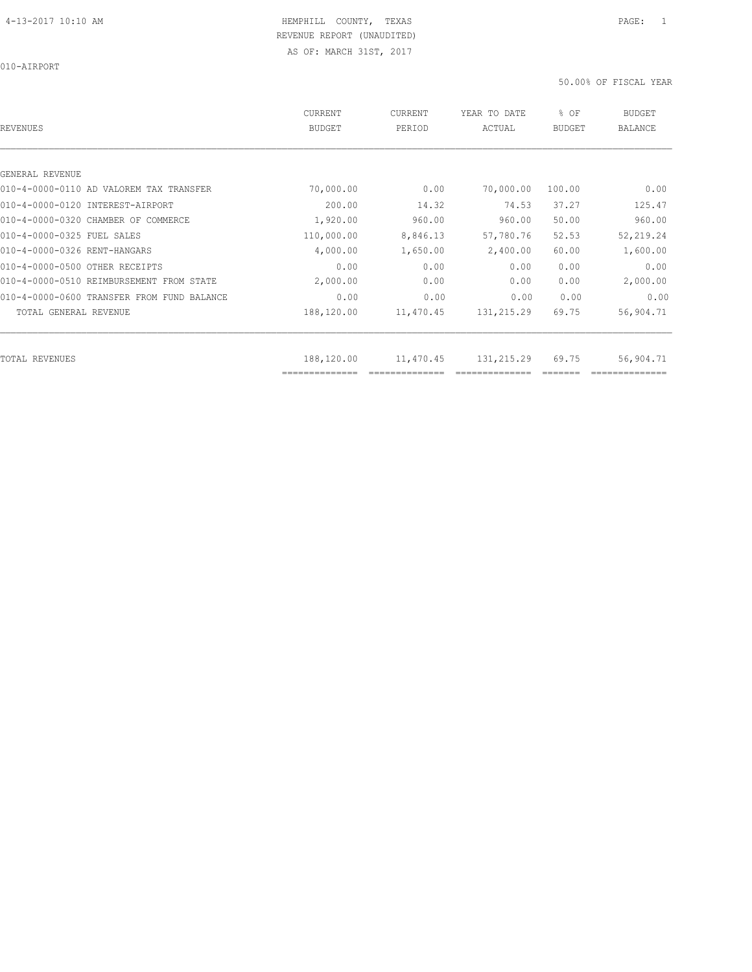010-AIRPORT

| REVENUES                                   | CURRENT<br><b>BUDGET</b>     | <b>CURRENT</b><br>PERIOD | YEAR TO DATE<br>ACTUAL | % OF<br>BUDGET | <b>BUDGET</b><br><b>BALANCE</b> |
|--------------------------------------------|------------------------------|--------------------------|------------------------|----------------|---------------------------------|
|                                            |                              |                          |                        |                |                                 |
| GENERAL REVENUE                            |                              |                          |                        |                |                                 |
| 010-4-0000-0110 AD VALOREM TAX TRANSFER    | 70,000.00                    | 0.00                     | 70,000.00              | 100.00         | 0.00                            |
| 010-4-0000-0120 INTEREST-AIRPORT           | 200.00                       | 14.32                    | 74.53                  | 37.27          | 125.47                          |
| 010-4-0000-0320 CHAMBER OF COMMERCE        | 1,920.00                     | 960.00                   | 960.00                 | 50.00          | 960.00                          |
| 010-4-0000-0325 FUEL SALES                 | 110,000.00                   | 8,846.13                 | 57,780.76              | 52.53          | 52,219.24                       |
| 010-4-0000-0326 RENT-HANGARS               | 4,000.00                     | 1,650.00                 | 2,400.00               | 60.00          | 1,600.00                        |
| 010-4-0000-0500 OTHER RECEIPTS             | 0.00                         | 0.00                     | 0.00                   | 0.00           | 0.00                            |
| 010-4-0000-0510 REIMBURSEMENT FROM STATE   | 2,000.00                     | 0.00                     | 0.00                   | 0.00           | 2,000.00                        |
| 010-4-0000-0600 TRANSFER FROM FUND BALANCE | 0.00                         | 0.00                     | 0.00                   | 0.00           | 0.00                            |
| TOTAL GENERAL REVENUE                      | 188,120.00                   | 11,470.45                | 131, 215.29            | 69.75          | 56,904.71                       |
|                                            |                              |                          |                        |                |                                 |
| TOTAL REVENUES                             | 188,120.00<br>============== | 11,470.45                | 131,215.29             | 69.75          | 56,904.71                       |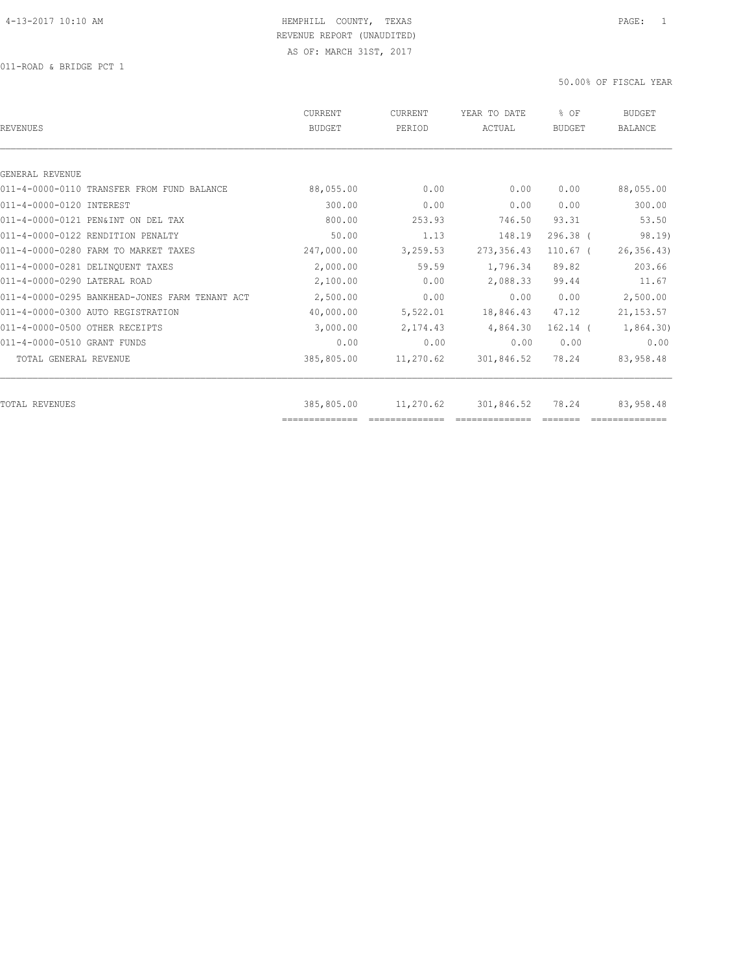| REVENUES                                       | <b>CURRENT</b><br><b>BUDGET</b> | CURRENT<br>PERIOD | YEAR TO DATE<br>ACTUAL | % OF<br><b>BUDGET</b> | <b>BUDGET</b><br><b>BALANCE</b> |
|------------------------------------------------|---------------------------------|-------------------|------------------------|-----------------------|---------------------------------|
|                                                |                                 |                   |                        |                       |                                 |
| GENERAL REVENUE                                |                                 |                   |                        |                       |                                 |
| 011-4-0000-0110 TRANSFER FROM FUND BALANCE     | 88,055.00                       | 0.00              | 0.00                   | 0.00                  | 88,055.00                       |
| 011-4-0000-0120 INTEREST                       | 300.00                          | 0.00              | 0.00                   | 0.00                  | 300.00                          |
| 011-4-0000-0121 PEN&INT ON DEL TAX             | 800.00                          | 253.93            | 746.50                 | 93.31                 | 53.50                           |
| 011-4-0000-0122 RENDITION PENALTY              | 50.00                           | 1.13              | 148.19                 | $296.38$ $($          | 98.19)                          |
| 011-4-0000-0280 FARM TO MARKET TAXES           | 247,000.00                      | 3,259.53          | 273, 356.43            | $110.67$ (            | 26, 356.43                      |
| 011-4-0000-0281 DELINQUENT TAXES               | 2,000.00                        | 59.59             | 1,796.34               | 89.82                 | 203.66                          |
| 011-4-0000-0290 LATERAL ROAD                   | 2,100.00                        | 0.00              | 2,088.33               | 99.44                 | 11.67                           |
| 011-4-0000-0295 BANKHEAD-JONES FARM TENANT ACT | 2,500.00                        | 0.00              | 0.00                   | 0.00                  | 2,500.00                        |
| 011-4-0000-0300 AUTO REGISTRATION              | 40,000.00                       | 5,522.01          | 18,846.43              | 47.12                 | 21, 153.57                      |
| 011-4-0000-0500 OTHER RECEIPTS                 | 3,000.00                        | 2,174.43          | 4,864.30               | $162.14$ (            | 1,864.30                        |
| 011-4-0000-0510 GRANT FUNDS                    | 0.00                            | 0.00              | 0.00                   | 0.00                  | 0.00                            |
| TOTAL GENERAL REVENUE                          | 385,805.00                      | 11,270.62         | 301,846.52             | 78.24                 | 83,958.48                       |
|                                                |                                 |                   |                        |                       |                                 |
| TOTAL REVENUES                                 | 385,805.00<br>==============    | 11,270.62         | 301,846.52             | 78.24                 | 83,958.48                       |
|                                                |                                 |                   |                        |                       |                                 |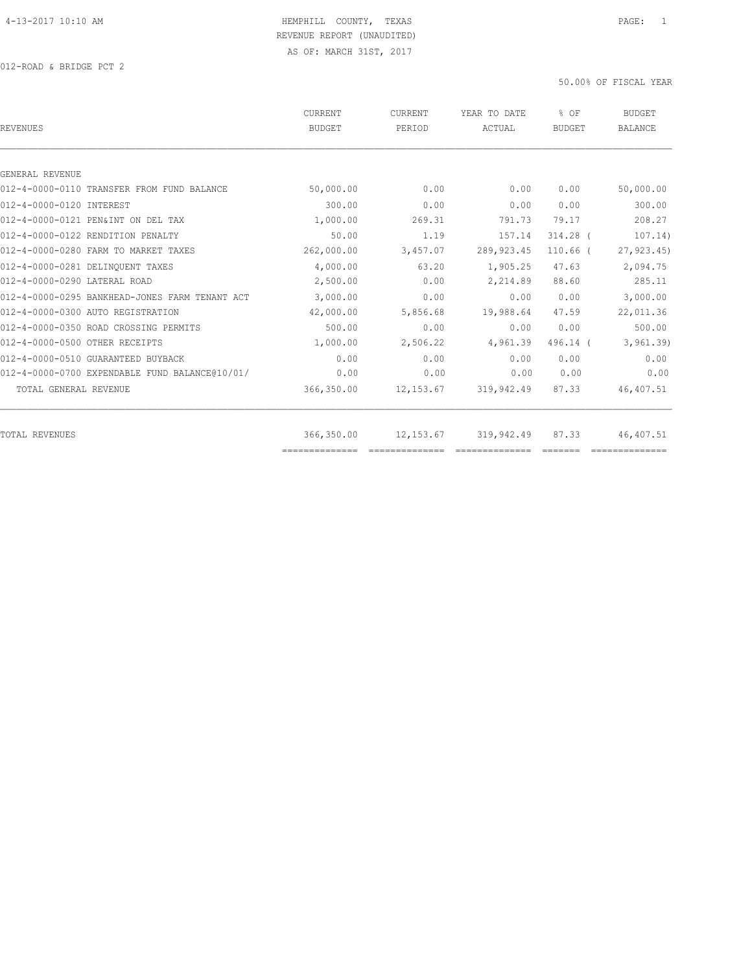| <b>BUDGET</b> | PERIOD     | YEAR TO DATE<br>ACTUAL | % OF<br><b>BUDGET</b> | <b>BUDGET</b><br><b>BALANCE</b> |
|---------------|------------|------------------------|-----------------------|---------------------------------|
|               |            |                        |                       |                                 |
|               |            |                        |                       |                                 |
| 50,000.00     | 0.00       | 0.00                   | 0.00                  | 50,000.00                       |
| 300.00        | 0.00       | 0.00                   | 0.00                  | 300.00                          |
| 1,000.00      | 269.31     | 791.73                 | 79.17                 | 208.27                          |
| 50.00         | 1.19       | 157.14                 | 314.28 (              | 107.14)                         |
| 262,000.00    | 3,457.07   | 289, 923.45            | $110.66$ (            | 27, 923.45                      |
| 4,000.00      | 63.20      | 1,905.25               | 47.63                 | 2,094.75                        |
| 2,500.00      | 0.00       | 2,214.89               | 88.60                 | 285.11                          |
| 3,000.00      | 0.00       | 0.00                   | 0.00                  | 3,000.00                        |
| 42,000.00     | 5,856.68   | 19,988.64              | 47.59                 | 22,011.36                       |
| 500.00        | 0.00       | 0.00                   | 0.00                  | 500.00                          |
| 1,000.00      | 2,506.22   | 4,961.39               | 496.14 (              | 3, 961.39                       |
| 0.00          | 0.00       | 0.00                   | 0.00                  | 0.00                            |
| 0.00          | 0.00       | 0.00                   | 0.00                  | 0.00                            |
| 366,350.00    | 12,153.67  | 319,942.49             | 87.33                 | 46,407.51                       |
|               |            |                        |                       | 46,407.51                       |
|               | 366,350.00 | 12,153.67              | 319,942.49            | 87.33                           |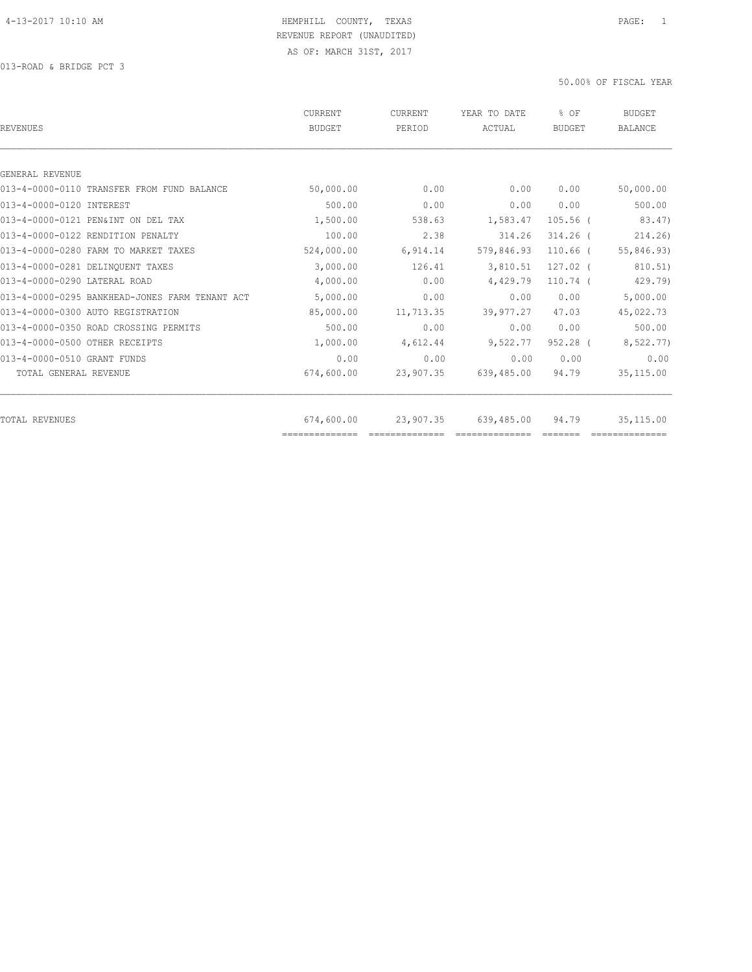| <b>REVENUES</b>                                | <b>CURRENT</b><br><b>BUDGET</b> | CURRENT<br>PERIOD | YEAR TO DATE<br>ACTUAL | % OF<br><b>BUDGET</b> | <b>BUDGET</b><br><b>BALANCE</b> |
|------------------------------------------------|---------------------------------|-------------------|------------------------|-----------------------|---------------------------------|
|                                                |                                 |                   |                        |                       |                                 |
| GENERAL REVENUE                                |                                 |                   |                        |                       |                                 |
| 013-4-0000-0110 TRANSFER FROM FUND BALANCE     | 50,000.00                       | 0.00              | 0.00                   | 0.00                  | 50,000.00                       |
| 013-4-0000-0120 INTEREST                       | 500.00                          | 0.00              | 0.00                   | 0.00                  | 500.00                          |
| 013-4-0000-0121 PEN&INT ON DEL TAX             | 1,500.00                        | 538.63            | 1,583.47               | $105.56$ (            | 83.47)                          |
| 013-4-0000-0122 RENDITION PENALTY              | 100.00                          | 2.38              | 314.26                 | $314.26$ (            | 214.26                          |
| 013-4-0000-0280 FARM TO MARKET TAXES           | 524,000.00                      | 6,914.14          | 579,846.93             | $110.66$ (            | 55,846.93)                      |
| 013-4-0000-0281 DELINOUENT TAXES               | 3,000.00                        | 126.41            | 3,810.51               | $127.02$ (            | 810.51)                         |
| 013-4-0000-0290 LATERAL ROAD                   | 4,000.00                        | 0.00              | 4,429.79               | $110.74$ (            | 429.79                          |
| 013-4-0000-0295 BANKHEAD-JONES FARM TENANT ACT | 5,000.00                        | 0.00              | 0.00                   | 0.00                  | 5,000.00                        |
| 013-4-0000-0300 AUTO REGISTRATION              | 85,000.00                       | 11,713.35         | 39,977.27              | 47.03                 | 45,022.73                       |
| 013-4-0000-0350 ROAD CROSSING PERMITS          | 500.00                          | 0.00              | 0.00                   | 0.00                  | 500.00                          |
| 013-4-0000-0500 OTHER RECEIPTS                 | 1,000.00                        | 4,612.44          | 9,522.77               | 952.28 (              | 8,522.77)                       |
| 013-4-0000-0510 GRANT FUNDS                    | 0.00                            | 0.00              | 0.00                   | 0.00                  | 0.00                            |
| TOTAL GENERAL REVENUE                          | 674,600.00                      | 23,907.35         | 639,485.00             | 94.79                 | 35, 115.00                      |
| <b>TOTAL REVENUES</b>                          | 674,600.00                      | 23,907.35         | 639,485.00             | 94.79                 | 35, 115.00                      |
|                                                | ==============                  |                   |                        |                       |                                 |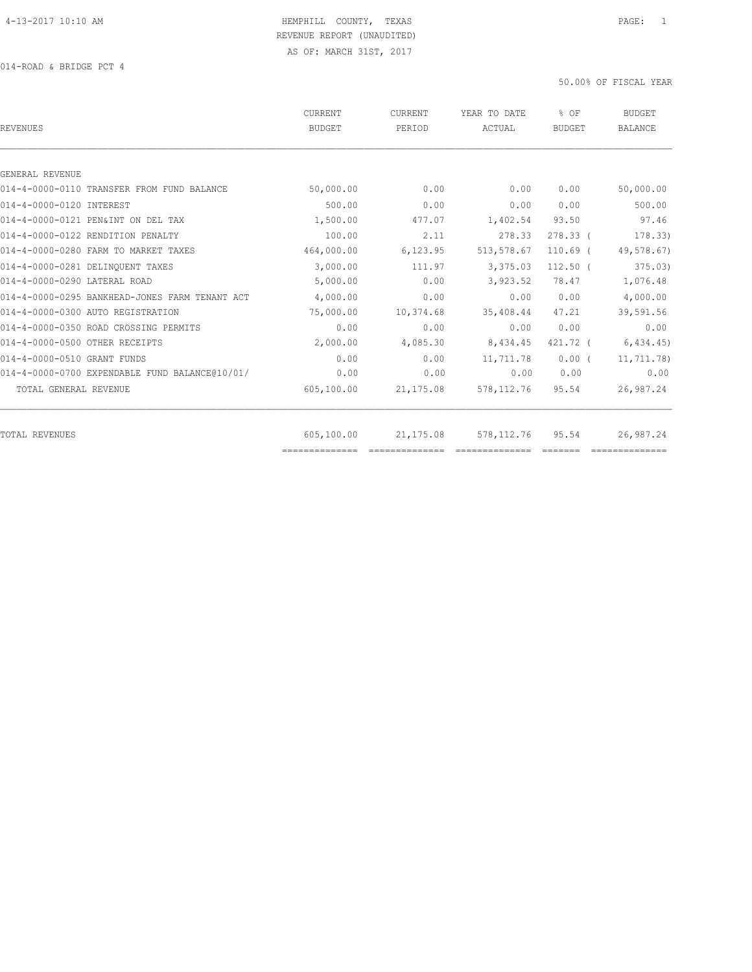| <b>REVENUES</b>                                | <b>CURRENT</b><br><b>BUDGET</b> | <b>CURRENT</b><br>PERIOD | YEAR TO DATE<br>ACTUAL | % OF<br><b>BUDGET</b> | <b>BUDGET</b><br><b>BALANCE</b> |
|------------------------------------------------|---------------------------------|--------------------------|------------------------|-----------------------|---------------------------------|
|                                                |                                 |                          |                        |                       |                                 |
| GENERAL REVENUE                                |                                 |                          |                        |                       |                                 |
| 014-4-0000-0110 TRANSFER FROM FUND BALANCE     | 50,000.00                       | 0.00                     | 0.00                   | 0.00                  | 50,000.00                       |
| 014-4-0000-0120 INTEREST                       | 500.00                          | 0.00                     | 0.00                   | 0.00                  | 500.00                          |
| 014-4-0000-0121 PEN&INT ON DEL TAX             | 1,500.00                        | 477.07                   | 1,402.54               | 93.50                 | 97.46                           |
| 014-4-0000-0122 RENDITION PENALTY              | 100.00                          | 2.11                     | 278.33                 | $278.33$ (            | 178.33)                         |
| 014-4-0000-0280 FARM TO MARKET TAXES           | 464,000.00                      | 6,123.95                 | 513,578.67             | $110.69$ (            | 49,578.67)                      |
| 014-4-0000-0281 DELINQUENT TAXES               | 3,000.00                        | 111.97                   | 3,375.03               | $112.50$ (            | 375.03)                         |
| 014-4-0000-0290 LATERAL ROAD                   | 5,000.00                        | 0.00                     | 3,923.52               | 78.47                 | 1,076.48                        |
| 014-4-0000-0295 BANKHEAD-JONES FARM TENANT ACT | 4,000.00                        | 0.00                     | 0.00                   | 0.00                  | 4,000.00                        |
| 014-4-0000-0300 AUTO REGISTRATION              | 75,000.00                       | 10,374.68                | 35,408.44              | 47.21                 | 39,591.56                       |
| 014-4-0000-0350 ROAD CROSSING PERMITS          | 0.00                            | 0.00                     | 0.00                   | 0.00                  | 0.00                            |
| 014-4-0000-0500 OTHER RECEIPTS                 | 2,000.00                        | 4,085.30                 | 8,434.45               | 421.72 (              | 6,434.45)                       |
| 014-4-0000-0510 GRANT FUNDS                    | 0.00                            | 0.00                     | 11,711.78              | $0.00$ (              | 11,711.78)                      |
| 014-4-0000-0700 EXPENDABLE FUND BALANCE@10/01/ | 0.00                            | 0.00                     | 0.00                   | 0.00                  | 0.00                            |
| TOTAL GENERAL REVENUE                          | 605,100.00                      | 21, 175.08               | 578, 112.76            | 95.54                 | 26,987.24                       |
| <b>TOTAL REVENUES</b>                          | 605,100.00                      | 21,175.08                | 578, 112.76            | 95.54                 | 26,987.24                       |
|                                                |                                 |                          |                        |                       |                                 |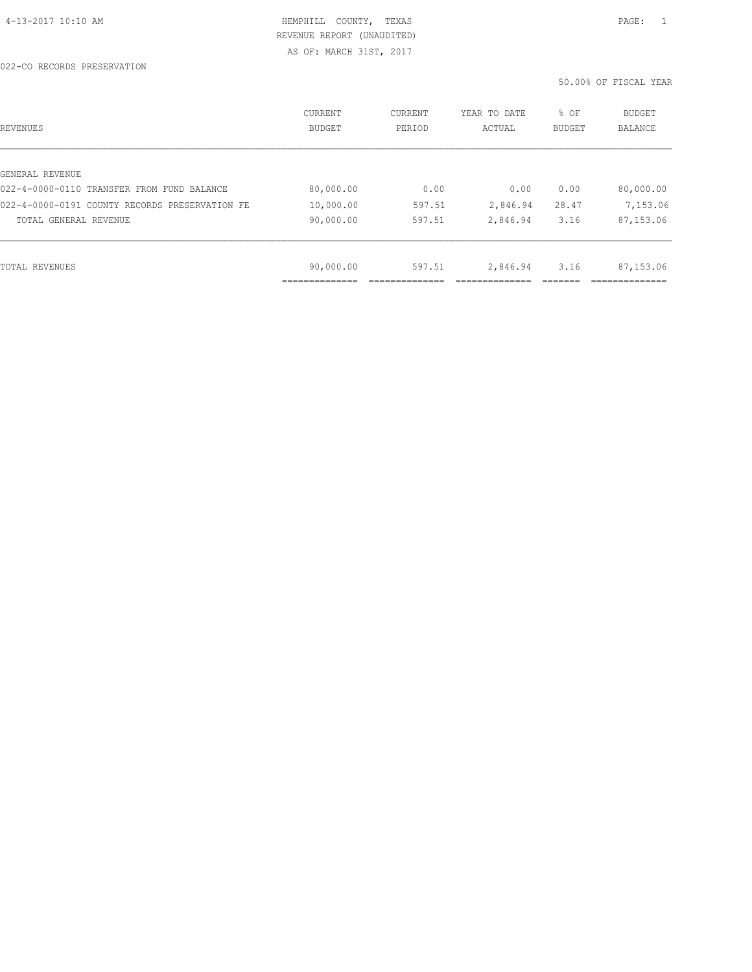022-CO RECORDS PRESERVATION

| REVENUES                                       | CURRENT<br><b>BUDGET</b> | CURRENT<br>PERIOD | YEAR TO DATE<br>ACTUAL | % OF<br>BUDGET | <b>BUDGET</b><br>BALANCE |
|------------------------------------------------|--------------------------|-------------------|------------------------|----------------|--------------------------|
|                                                |                          |                   |                        |                |                          |
| GENERAL REVENUE                                |                          |                   |                        |                |                          |
| 022-4-0000-0110 TRANSFER FROM FUND BALANCE     | 80,000.00                | 0.00              | 0.00                   | 0.00           | 80,000.00                |
| 022-4-0000-0191 COUNTY RECORDS PRESERVATION FE | 10,000.00                | 597.51            | 2,846.94               | 28.47          | 7,153.06                 |
| TOTAL GENERAL REVENUE                          | 90,000.00                | 597.51            | 2,846.94               | 3.16           | 87,153.06                |
|                                                |                          |                   |                        |                |                          |
| TOTAL REVENUES                                 | 90,000.00                | 597.51            | 2,846.94               | 3.16           | 87,153.06                |
|                                                |                          |                   |                        |                |                          |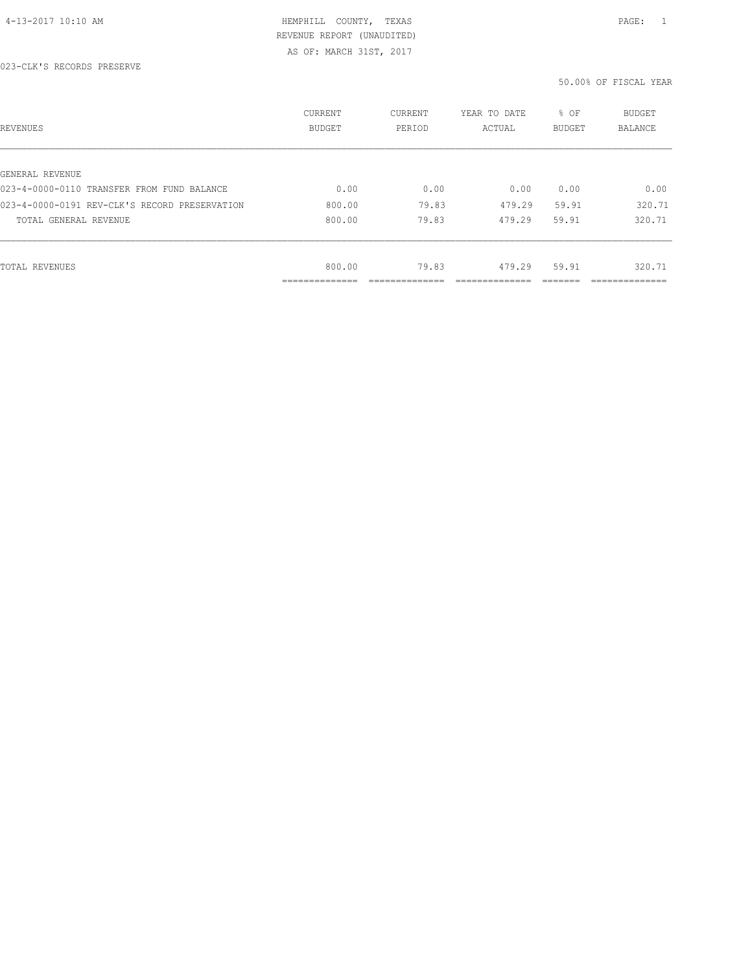| REVENUES                                      | CURRENT<br><b>BUDGET</b>    | CURRENT<br>PERIOD | YEAR TO DATE<br>ACTUAL | % OF<br>BUDGET | BUDGET<br>BALANCE |
|-----------------------------------------------|-----------------------------|-------------------|------------------------|----------------|-------------------|
|                                               |                             |                   |                        |                |                   |
| GENERAL REVENUE                               |                             |                   |                        |                |                   |
| 023-4-0000-0110 TRANSFER FROM FUND BALANCE    | 0.00                        | 0.00              | 0.00                   | 0.00           | 0.00              |
| 023-4-0000-0191 REV-CLK'S RECORD PRESERVATION | 800.00                      | 79.83             | 479.29                 | 59.91          | 320.71            |
| TOTAL GENERAL REVENUE                         | 800.00                      | 79.83             | 479.29                 | 59.91          | 320.71            |
|                                               |                             |                   |                        |                |                   |
| TOTAL REVENUES                                | 800.00                      | 79.83             | 479.29                 | 59.91          | 320.71            |
|                                               | ------------<br>----------- |                   |                        |                | -----------       |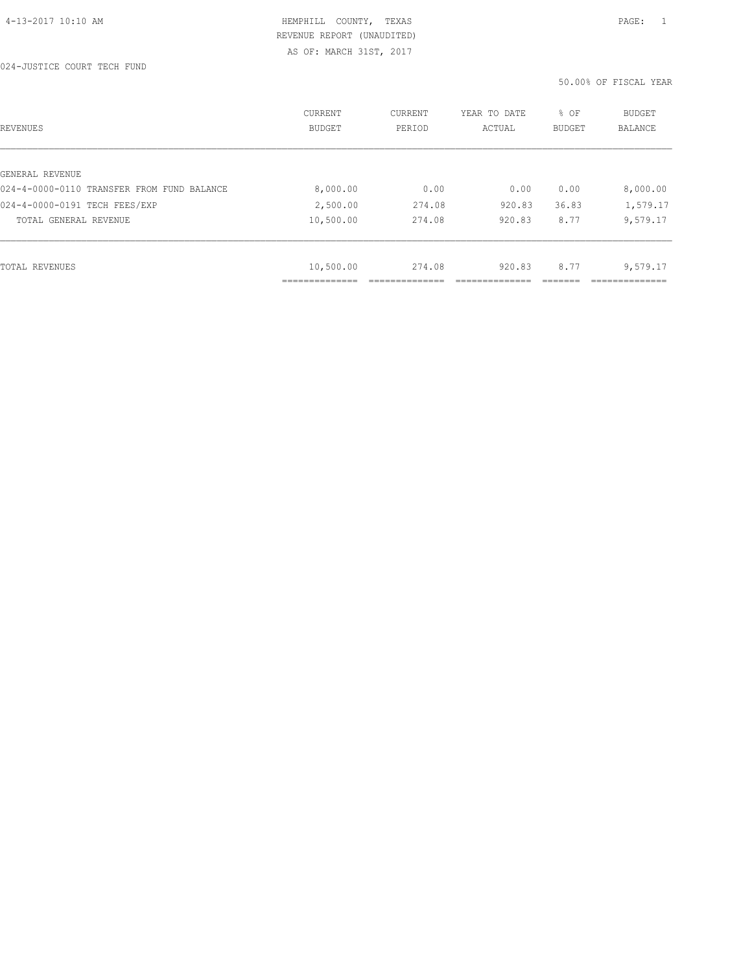024-JUSTICE COURT TECH FUND

| REVENUES                                   | CURRENT<br><b>BUDGET</b>         | CURRENT<br>PERIOD | YEAR TO DATE<br>ACTUAL | % OF<br>BUDGET | BUDGET<br>BALANCE |
|--------------------------------------------|----------------------------------|-------------------|------------------------|----------------|-------------------|
|                                            |                                  |                   |                        |                |                   |
| GENERAL REVENUE                            |                                  |                   |                        |                |                   |
| 024-4-0000-0110 TRANSFER FROM FUND BALANCE | 8,000.00                         | 0.00              | 0.00                   | 0.00           | 8,000.00          |
| 024-4-0000-0191 TECH FEES/EXP              | 2,500.00                         | 274.08            | 920.83                 | 36.83          | 1,579.17          |
| TOTAL GENERAL REVENUE                      | 10,500.00                        | 274.08            | 920.83                 | 8.77           | 9,579.17          |
|                                            |                                  |                   |                        |                |                   |
| TOTAL REVENUES                             | 10,500.00                        | 274.08            | 920.83                 | 8.77           | 9,579.17          |
|                                            | ___________<br>_________________ |                   |                        |                | __________        |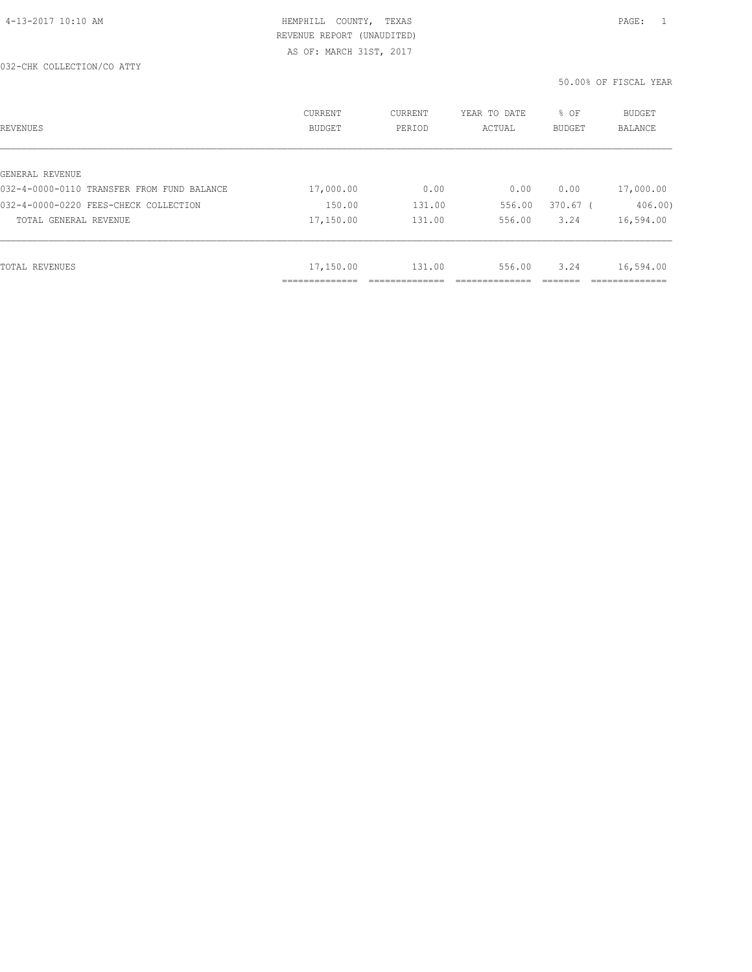| REVENUES                                   | CURRENT<br><b>BUDGET</b> | CURRENT<br>PERIOD | YEAR TO DATE<br>ACTUAL | % OF<br><b>BUDGET</b> | BUDGET<br><b>BALANCE</b> |
|--------------------------------------------|--------------------------|-------------------|------------------------|-----------------------|--------------------------|
|                                            |                          |                   |                        |                       |                          |
| GENERAL REVENUE                            |                          |                   |                        |                       |                          |
| 032-4-0000-0110 TRANSFER FROM FUND BALANCE | 17,000.00                | 0.00              | 0.00                   | 0.00                  | 17,000.00                |
| 032-4-0000-0220 FEES-CHECK COLLECTION      | 150.00                   | 131.00            | 556.00                 | $370.67$ (            | 406.00                   |
| TOTAL GENERAL REVENUE                      | 17,150.00                | 131.00            | 556.00                 | 3.24                  | 16,594.00                |
|                                            |                          |                   |                        |                       |                          |
| TOTAL REVENUES                             | 17,150.00                | 131.00            | 556.00                 | 3.24                  | 16,594.00                |
|                                            | ____________<br>.        |                   |                        |                       | _____________            |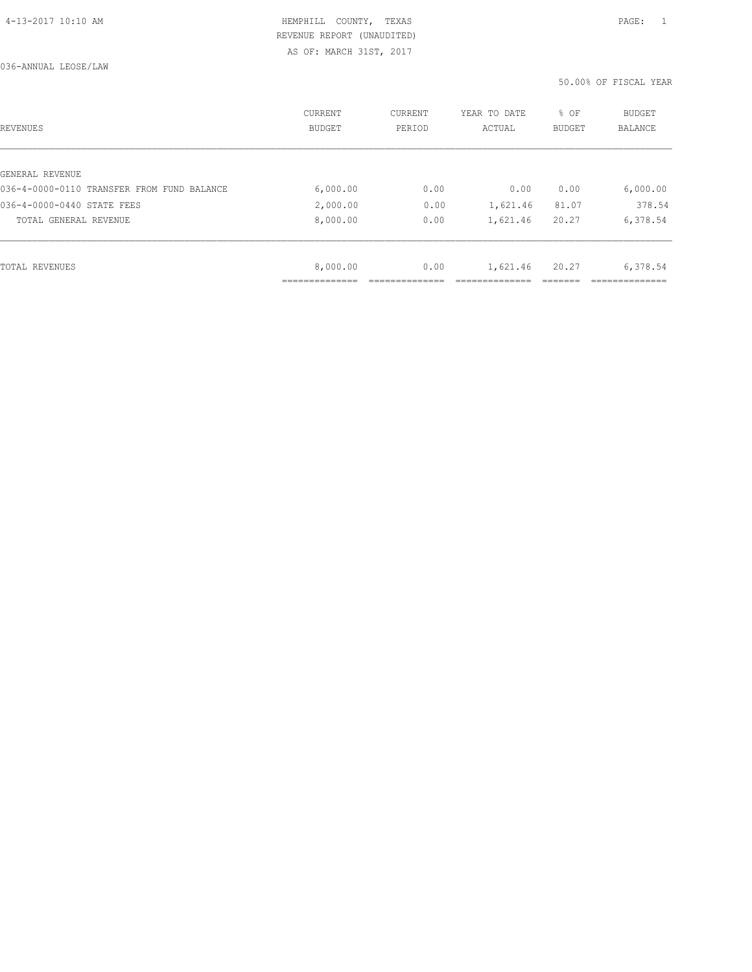036-ANNUAL LEOSE/LAW

| REVENUES                                   | CURRENT<br><b>BUDGET</b> | CURRENT<br>PERIOD | YEAR TO DATE<br>ACTUAL | % OF<br><b>BUDGET</b> | BUDGET<br>BALANCE |
|--------------------------------------------|--------------------------|-------------------|------------------------|-----------------------|-------------------|
|                                            |                          |                   |                        |                       |                   |
| GENERAL REVENUE                            |                          |                   |                        |                       |                   |
| 036-4-0000-0110 TRANSFER FROM FUND BALANCE | 6,000.00                 | 0.00              | 0.00                   | 0.00                  | 6,000.00          |
| 036-4-0000-0440 STATE FEES                 | 2,000.00                 | 0.00              | 1,621.46               | 81.07                 | 378.54            |
| TOTAL GENERAL REVENUE                      | 8,000.00                 | 0.00              | 1,621.46               | 20.27                 | 6,378.54          |
|                                            |                          |                   |                        |                       |                   |
| TOTAL REVENUES                             | 8,000.00                 | 0.00              | 1,621.46               | 20.27                 | 6,378.54          |
|                                            |                          |                   |                        |                       |                   |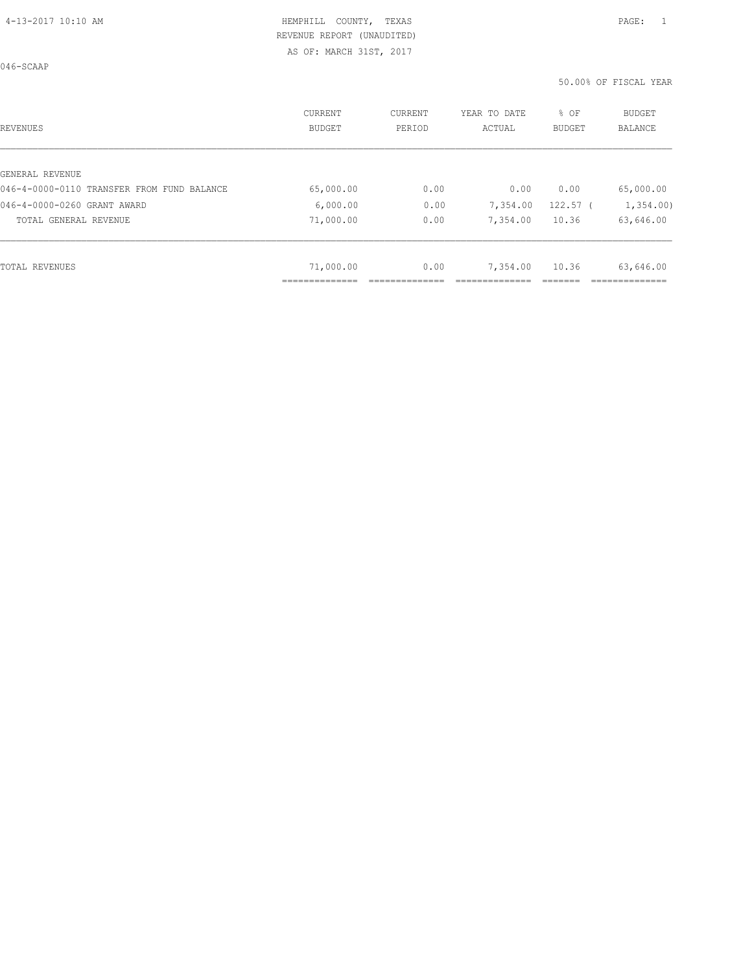046-SCAAP

| REVENUES                                   | CURRENT<br><b>BUDGET</b> | CURRENT<br>PERIOD | YEAR TO DATE<br>ACTUAL | % OF<br><b>BUDGET</b> | <b>BUDGET</b><br><b>BALANCE</b> |
|--------------------------------------------|--------------------------|-------------------|------------------------|-----------------------|---------------------------------|
|                                            |                          |                   |                        |                       |                                 |
| GENERAL REVENUE                            |                          |                   |                        |                       |                                 |
| 046-4-0000-0110 TRANSFER FROM FUND BALANCE | 65,000.00                | 0.00              | 0.00                   | 0.00                  | 65,000.00                       |
| 046-4-0000-0260 GRANT AWARD                | 6,000.00                 | 0.00              | 7,354.00               | $122.57$ (            | 1,354.00                        |
| TOTAL GENERAL REVENUE                      | 71,000.00                | 0.00              | 7,354.00               | 10.36                 | 63,646.00                       |
|                                            |                          |                   |                        |                       |                                 |
| TOTAL REVENUES                             | 71,000.00                | 0.00              | 7,354.00               | 10.36                 | 63,646.00                       |
|                                            | ____________<br>.        |                   |                        |                       |                                 |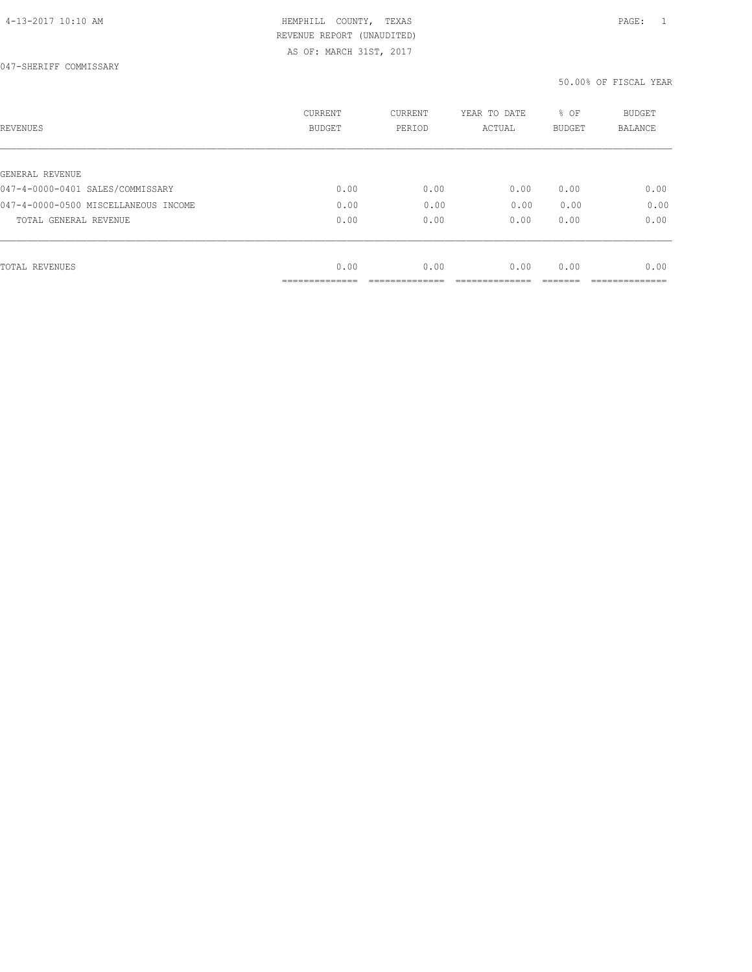| REVENUES                             | <b>CURRENT</b><br><b>BUDGET</b> | CURRENT<br>PERIOD | YEAR TO DATE<br>ACTUAL | % OF<br><b>BUDGET</b> | <b>BUDGET</b><br>BALANCE |
|--------------------------------------|---------------------------------|-------------------|------------------------|-----------------------|--------------------------|
|                                      |                                 |                   |                        |                       |                          |
| GENERAL REVENUE                      |                                 |                   |                        |                       |                          |
| 047-4-0000-0401 SALES/COMMISSARY     | 0.00                            | 0.00              | 0.00                   | 0.00                  | 0.00                     |
| 047-4-0000-0500 MISCELLANEOUS INCOME | 0.00                            | 0.00              | 0.00                   | 0.00                  | 0.00                     |
| TOTAL GENERAL REVENUE                | 0.00                            | 0.00              | 0.00                   | 0.00                  | 0.00                     |
|                                      |                                 |                   |                        |                       |                          |
| TOTAL REVENUES                       | 0.00                            | 0.00              | 0.00                   | 0.00                  | 0.00                     |
|                                      | -----------                     |                   |                        |                       |                          |